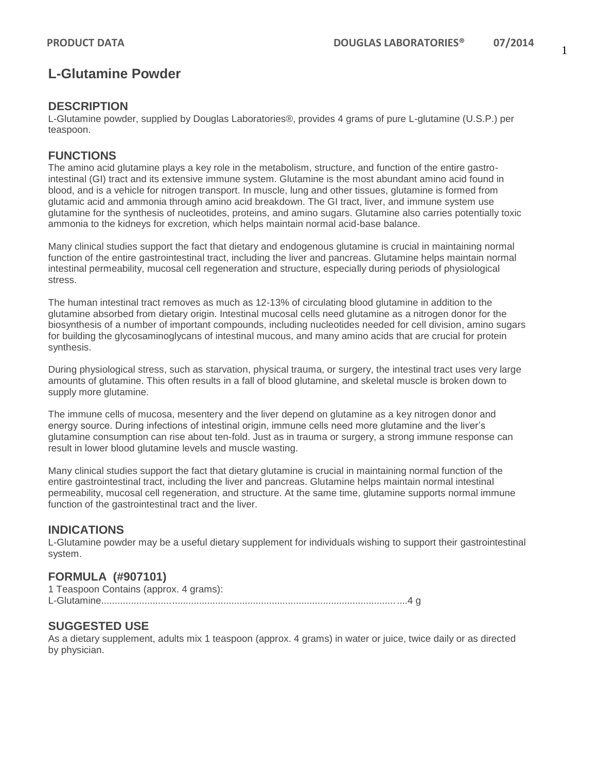# **L-Glutamine Powder**

### **DESCRIPTION**

L-Glutamine powder, supplied by Douglas Laboratories®, provides 4 grams of pure L-glutamine (U.S.P.) per teaspoon.

### **FUNCTIONS**

The amino acid glutamine plays a key role in the metabolism, structure, and function of the entire gastrointestinal (GI) tract and its extensive immune system. Glutamine is the most abundant amino acid found in blood, and is a vehicle for nitrogen transport. In muscle, lung and other tissues, glutamine is formed from glutamic acid and ammonia through amino acid breakdown. The GI tract, liver, and immune system use glutamine for the synthesis of nucleotides, proteins, and amino sugars. Glutamine also carries potentially toxic ammonia to the kidneys for excretion, which helps maintain normal acid-base balance.

Many clinical studies support the fact that dietary and endogenous glutamine is crucial in maintaining normal function of the entire gastrointestinal tract, including the liver and pancreas. Glutamine helps maintain normal intestinal permeability, mucosal cell regeneration and structure, especially during periods of physiological stress.

The human intestinal tract removes as much as 12-13% of circulating blood glutamine in addition to the glutamine absorbed from dietary origin. Intestinal mucosal cells need glutamine as a nitrogen donor for the biosynthesis of a number of important compounds, including nucleotides needed for cell division, amino sugars for building the glycosaminoglycans of intestinal mucous, and many amino acids that are crucial for protein synthesis.

During physiological stress, such as starvation, physical trauma, or surgery, the intestinal tract uses very large amounts of glutamine. This often results in a fall of blood glutamine, and skeletal muscle is broken down to supply more glutamine.

The immune cells of mucosa, mesentery and the liver depend on glutamine as a key nitrogen donor and energy source. During infections of intestinal origin, immune cells need more glutamine and the liver's glutamine consumption can rise about ten-fold. Just as in trauma or surgery, a strong immune response can result in lower blood glutamine levels and muscle wasting.

Many clinical studies support the fact that dietary glutamine is crucial in maintaining normal function of the entire gastrointestinal tract, including the liver and pancreas. Glutamine helps maintain normal intestinal permeability, mucosal cell regeneration, and structure. At the same time, glutamine supports normal immune function of the gastrointestinal tract and the liver.

### **INDICATIONS**

L-Glutamine powder may be a useful dietary supplement for individuals wishing to support their gastrointestinal system.

### **FORMULA (#907101)**

| 1 Teaspoon Contains (approx. 4 grams): |  |
|----------------------------------------|--|
|                                        |  |

### **SUGGESTED USE**

As a dietary supplement, adults mix 1 teaspoon (approx. 4 grams) in water or juice, twice daily or as directed by physician.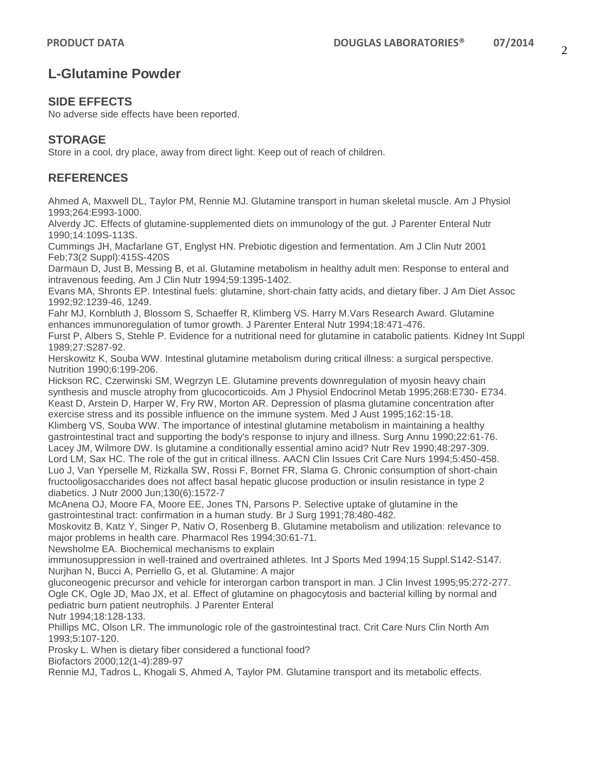# **L-Glutamine Powder**

### **SIDE EFFECTS**

No adverse side effects have been reported.

### **STORAGE**

Store in a cool, dry place, away from direct light. Keep out of reach of children.

### **REFERENCES**

Ahmed A, Maxwell DL, Taylor PM, Rennie MJ. Glutamine transport in human skeletal muscle. Am J Physiol 1993;264:E993-1000.

Alverdy JC. Effects of glutamine-supplemented diets on immunology of the gut. J Parenter Enteral Nutr 1990;14:109S-113S.

Cummings JH, Macfarlane GT, Englyst HN. Prebiotic digestion and fermentation. Am J Clin Nutr 2001 Feb;73(2 Suppl):415S-420S

Darmaun D, Just B, Messing B, et al. Glutamine metabolism in healthy adult men: Response to enteral and intravenous feeding. Am J Clin Nutr 1994;59:1395-1402.

Evans MA, Shronts EP. Intestinal fuels: glutamine, short-chain fatty acids, and dietary fiber. J Am Diet Assoc 1992;92:1239-46, 1249.

Fahr MJ, Kornbluth J, Blossom S, Schaeffer R, Klimberg VS. Harry M.Vars Research Award. Glutamine enhances immunoregulation of tumor growth. J Parenter Enteral Nutr 1994;18:471-476.

Furst P, Albers S, Stehle P. Evidence for a nutritional need for glutamine in catabolic patients. Kidney Int Suppl 1989;27:S287-92.

Herskowitz K, Souba WW. Intestinal glutamine metabolism during critical illness: a surgical perspective. Nutrition 1990;6:199-206.

Hickson RC, Czerwinski SM, Wegrzyn LE. Glutamine prevents downregulation of myosin heavy chain synthesis and muscle atrophy from glucocorticoids. Am J Physiol Endocrinol Metab 1995;268:E730- E734. Keast D, Arstein D, Harper W, Fry RW, Morton AR. Depression of plasma glutamine concentration after exercise stress and its possible influence on the immune system. Med J Aust 1995;162:15-18. Klimberg VS, Souba WW. The importance of intestinal glutamine metabolism in maintaining a healthy gastrointestinal tract and supporting the body's response to injury and illness. Surg Annu 1990;22:61-76. Lacey JM, Wilmore DW. Is glutamine a conditionally essential amino acid? Nutr Rev 1990;48:297-309. Lord LM, Sax HC. The role of the gut in critical illness. AACN Clin Issues Crit Care Nurs 1994;5:450-458. Luo J, Van Yperselle M, Rizkalla SW, Rossi F, Bornet FR, Slama G. Chronic consumption of short-chain fructooligosaccharides does not affect basal hepatic glucose production or insulin resistance in type 2 diabetics. J Nutr 2000 Jun;130(6):1572-7

McAnena OJ, Moore FA, Moore EE, Jones TN, Parsons P. Selective uptake of glutamine in the gastrointestinal tract: confirmation in a human study. Br J Surg 1991;78:480-482.

Moskovitz B, Katz Y, Singer P, Nativ O, Rosenberg B. Glutamine metabolism and utilization: relevance to major problems in health care. Pharmacol Res 1994;30:61-71.

Newsholme EA. Biochemical mechanisms to explain

immunosuppression in well-trained and overtrained athletes. Int J Sports Med 1994;15 Suppl.S142-S147. Nurjhan N, Bucci A, Perriello G, et al. Glutamine: A major

gluconeogenic precursor and vehicle for interorgan carbon transport in man. J Clin Invest 1995;95:272-277. Ogle CK, Ogle JD, Mao JX, et al. Effect of glutamine on phagocytosis and bacterial killing by normal and pediatric burn patient neutrophils. J Parenter Enteral

Nutr 1994;18:128-133.

Phillips MC, Olson LR. The immunologic role of the gastrointestinal tract. Crit Care Nurs Clin North Am 1993;5:107-120.

Prosky L. When is dietary fiber considered a functional food?

Biofactors 2000;12(1-4):289-97

Rennie MJ, Tadros L, Khogali S, Ahmed A, Taylor PM. Glutamine transport and its metabolic effects.